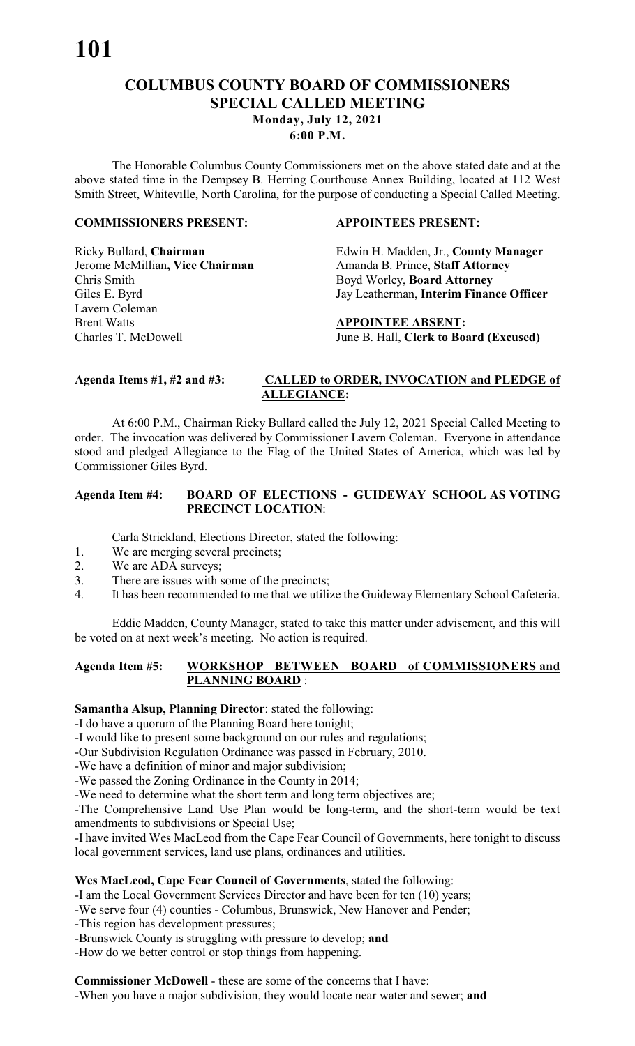# **COLUMBUS COUNTY BOARD OF COMMISSIONERS SPECIAL CALLED MEETING Monday, July 12, 2021**

**6:00 P.M.**

The Honorable Columbus County Commissioners met on the above stated date and at the above stated time in the Dempsey B. Herring Courthouse Annex Building, located at 112 West Smith Street, Whiteville, North Carolina, for the purpose of conducting a Special Called Meeting.

#### **COMMISSIONERS PRESENT: APPOINTEES PRESENT:**

Jerome McMillian, Vice Chairman Amanda B. Prince, Staff Attorney Chris Smith Boyd Worley, **Board Attorney** Lavern Coleman **Brent Watts APPOINTEE ABSENT:** 

Ricky Bullard, **Chairman** Edwin H. Madden, Jr., **County Manager**  Giles E. Byrd Jay Leatherman, **Interim Finance Officer**

Charles T. McDowell June B. Hall, **Clerk to Board (Excused)**

# **Agenda Items #1, #2 and #3: CALLED to ORDER, INVOCATION and PLEDGE of ALLEGIANCE:**

At 6:00 P.M., Chairman Ricky Bullard called the July 12, 2021 Special Called Meeting to order. The invocation was delivered by Commissioner Lavern Coleman. Everyone in attendance stood and pledged Allegiance to the Flag of the United States of America, which was led by Commissioner Giles Byrd.

#### **Agenda Item #4: BOARD OF ELECTIONS - GUIDEWAY SCHOOL AS VOTING PRECINCT LOCATION**:

Carla Strickland, Elections Director, stated the following:

- 1. We are merging several precincts;
- 2. We are ADA surveys;
- 3. There are issues with some of the precincts;
- 4. It has been recommended to me that we utilize the Guideway Elementary School Cafeteria.

Eddie Madden, County Manager, stated to take this matter under advisement, and this will be voted on at next week's meeting. No action is required.

## **Agenda Item #5: WORKSHOP BETWEEN BOARD of COMMISSIONERS and PLANNING BOARD** :

#### **Samantha Alsup, Planning Director**: stated the following:

-I do have a quorum of the Planning Board here tonight;

-I would like to present some background on our rules and regulations;

-Our Subdivision Regulation Ordinance was passed in February, 2010.

-We have a definition of minor and major subdivision;

-We passed the Zoning Ordinance in the County in 2014;

-We need to determine what the short term and long term objectives are;

-The Comprehensive Land Use Plan would be long-term, and the short-term would be text amendments to subdivisions or Special Use;

-I have invited Wes MacLeod from the Cape Fear Council of Governments, here tonight to discuss local government services, land use plans, ordinances and utilities.

# **Wes MacLeod, Cape Fear Council of Governments**, stated the following:

-I am the Local Government Services Director and have been for ten (10) years;

- -We serve four (4) counties Columbus, Brunswick, New Hanover and Pender;
- -This region has development pressures;
- -Brunswick County is struggling with pressure to develop; **and**
- -How do we better control or stop things from happening.

**Commissioner McDowell** - these are some of the concerns that I have: -When you have a major subdivision, they would locate near water and sewer; **and**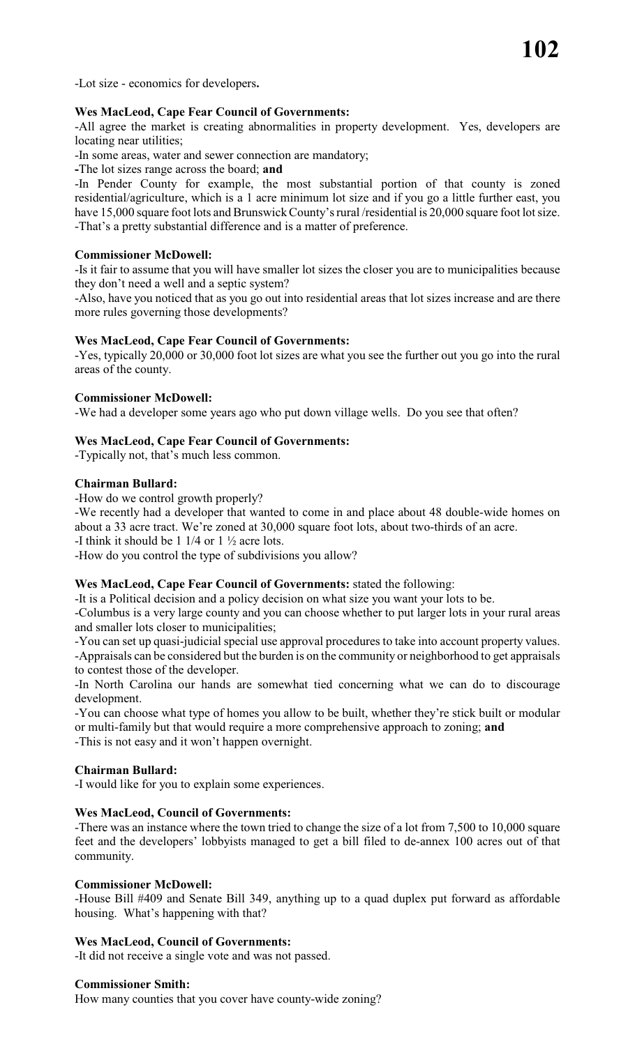-Lot size - economics for developers**.**

#### **Wes MacLeod, Cape Fear Council of Governments:**

-All agree the market is creating abnormalities in property development. Yes, developers are locating near utilities;

-In some areas, water and sewer connection are mandatory;

**-**The lot sizes range across the board; **and**

-In Pender County for example, the most substantial portion of that county is zoned residential/agriculture, which is a 1 acre minimum lot size and if you go a little further east, you have 15,000 square foot lots and Brunswick County's rural /residential is 20,000 square foot lot size. -That's a pretty substantial difference and is a matter of preference.

#### **Commissioner McDowell:**

-Is it fair to assume that you will have smaller lot sizes the closer you are to municipalities because they don't need a well and a septic system?

-Also, have you noticed that as you go out into residential areas that lot sizes increase and are there more rules governing those developments?

#### **Wes MacLeod, Cape Fear Council of Governments:**

-Yes, typically 20,000 or 30,000 foot lot sizes are what you see the further out you go into the rural areas of the county.

#### **Commissioner McDowell:**

-We had a developer some years ago who put down village wells. Do you see that often?

#### **Wes MacLeod, Cape Fear Council of Governments:**

-Typically not, that's much less common.

#### **Chairman Bullard:**

-How do we control growth properly?

-We recently had a developer that wanted to come in and place about 48 double-wide homes on about a 33 acre tract. We're zoned at 30,000 square foot lots, about two-thirds of an acre. -I think it should be 1 1/4 or 1 ½ acre lots.

-How do you control the type of subdivisions you allow?

#### **Wes MacLeod, Cape Fear Council of Governments:** stated the following:

-It is a Political decision and a policy decision on what size you want your lots to be.

-Columbus is a very large county and you can choose whether to put larger lots in your rural areas and smaller lots closer to municipalities;

-You can set up quasi-judicial special use approval procedures to take into account property values. -Appraisals can be considered but the burden is on the community or neighborhood to get appraisals to contest those of the developer.

-In North Carolina our hands are somewhat tied concerning what we can do to discourage development.

-You can choose what type of homes you allow to be built, whether they're stick built or modular or multi-family but that would require a more comprehensive approach to zoning; **and** -This is not easy and it won't happen overnight.

#### **Chairman Bullard:**

-I would like for you to explain some experiences.

#### **Wes MacLeod, Council of Governments:**

-There was an instance where the town tried to change the size of a lot from 7,500 to 10,000 square feet and the developers' lobbyists managed to get a bill filed to de-annex 100 acres out of that community.

#### **Commissioner McDowell:**

-House Bill #409 and Senate Bill 349, anything up to a quad duplex put forward as affordable housing. What's happening with that?

# **Wes MacLeod, Council of Governments:**

-It did not receive a single vote and was not passed.

#### **Commissioner Smith:**

How many counties that you cover have county-wide zoning?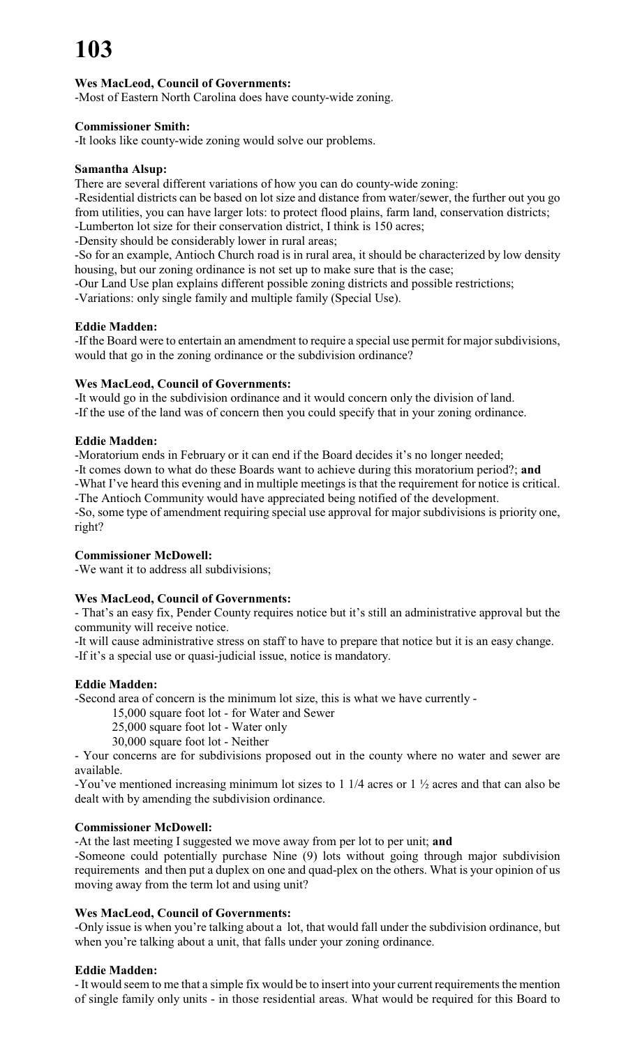# **Wes MacLeod, Council of Governments:**

-Most of Eastern North Carolina does have county-wide zoning.

#### **Commissioner Smith:**

-It looks like county-wide zoning would solve our problems.

#### **Samantha Alsup:**

There are several different variations of how you can do county-wide zoning:

-Residential districts can be based on lot size and distance from water/sewer, the further out you go from utilities, you can have larger lots: to protect flood plains, farm land, conservation districts; -Lumberton lot size for their conservation district, I think is 150 acres;

-Density should be considerably lower in rural areas;

-So for an example, Antioch Church road is in rural area, it should be characterized by low density housing, but our zoning ordinance is not set up to make sure that is the case;

-Our Land Use plan explains different possible zoning districts and possible restrictions;

-Variations: only single family and multiple family (Special Use).

#### **Eddie Madden:**

-If the Board were to entertain an amendment to require a special use permit for major subdivisions, would that go in the zoning ordinance or the subdivision ordinance?

# **Wes MacLeod, Council of Governments:**

-It would go in the subdivision ordinance and it would concern only the division of land. -If the use of the land was of concern then you could specify that in your zoning ordinance.

# **Eddie Madden:**

-Moratorium ends in February or it can end if the Board decides it's no longer needed;

-It comes down to what do these Boards want to achieve during this moratorium period?; **and**

-What I've heard this evening and in multiple meetings is that the requirement for notice is critical. -The Antioch Community would have appreciated being notified of the development.

-So, some type of amendment requiring special use approval for major subdivisions is priority one, right?

#### **Commissioner McDowell:**

-We want it to address all subdivisions;

# **Wes MacLeod, Council of Governments:**

- That's an easy fix, Pender County requires notice but it's still an administrative approval but the community will receive notice.

-It will cause administrative stress on staff to have to prepare that notice but it is an easy change. -If it's a special use or quasi-judicial issue, notice is mandatory.

# **Eddie Madden:**

-Second area of concern is the minimum lot size, this is what we have currently -

15,000 square foot lot - for Water and Sewer

- 25,000 square foot lot Water only
- 30,000 square foot lot Neither

- Your concerns are for subdivisions proposed out in the county where no water and sewer are available.

-You've mentioned increasing minimum lot sizes to 1 1/4 acres or 1 ½ acres and that can also be dealt with by amending the subdivision ordinance.

#### **Commissioner McDowell:**

-At the last meeting I suggested we move away from per lot to per unit; **and**

-Someone could potentially purchase Nine (9) lots without going through major subdivision requirements and then put a duplex on one and quad-plex on the others. What is your opinion of us moving away from the term lot and using unit?

#### **Wes MacLeod, Council of Governments:**

-Only issue is when you're talking about a lot, that would fall under the subdivision ordinance, but when you're talking about a unit, that falls under your zoning ordinance.

# **Eddie Madden:**

- It would seem to me that a simple fix would be to insert into your current requirements the mention of single family only units - in those residential areas. What would be required for this Board to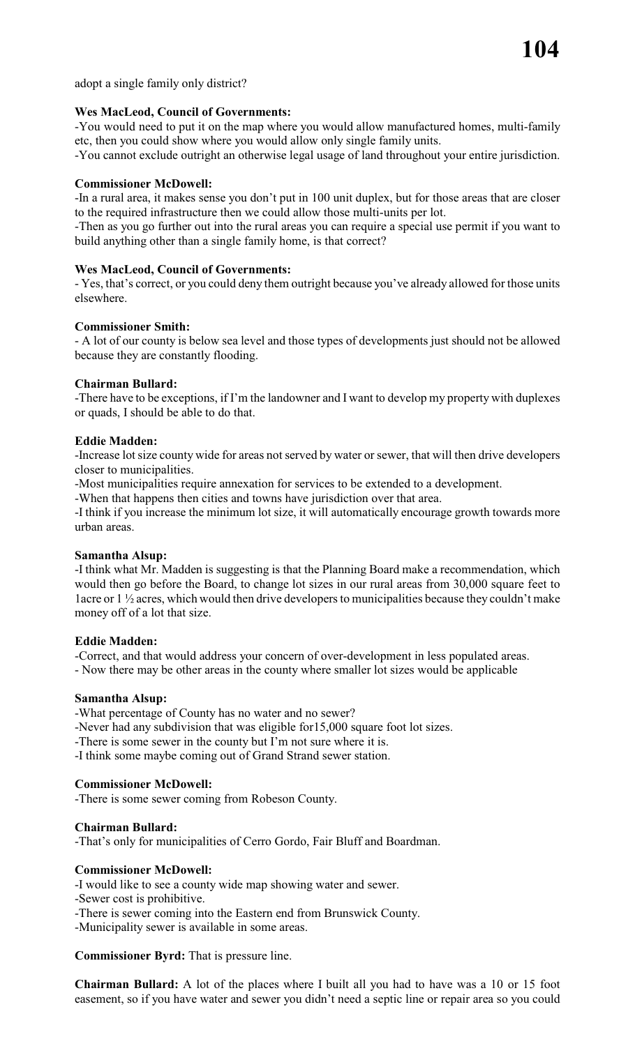adopt a single family only district?

# **Wes MacLeod, Council of Governments:**

-You would need to put it on the map where you would allow manufactured homes, multi-family etc, then you could show where you would allow only single family units.

-You cannot exclude outright an otherwise legal usage of land throughout your entire jurisdiction.

# **Commissioner McDowell:**

-In a rural area, it makes sense you don't put in 100 unit duplex, but for those areas that are closer to the required infrastructure then we could allow those multi-units per lot.

-Then as you go further out into the rural areas you can require a special use permit if you want to build anything other than a single family home, is that correct?

#### **Wes MacLeod, Council of Governments:**

- Yes, that's correct, or you could deny them outright because you've already allowed for those units elsewhere.

#### **Commissioner Smith:**

- A lot of our county is below sea level and those types of developments just should not be allowed because they are constantly flooding.

#### **Chairman Bullard:**

-There have to be exceptions, if I'm the landowner and I want to develop my property with duplexes or quads, I should be able to do that.

#### **Eddie Madden:**

-Increase lot size county wide for areas not served by water or sewer, that will then drive developers closer to municipalities.

-Most municipalities require annexation for services to be extended to a development.

-When that happens then cities and towns have jurisdiction over that area.

-I think if you increase the minimum lot size, it will automatically encourage growth towards more urban areas.

#### **Samantha Alsup:**

-I think what Mr. Madden is suggesting is that the Planning Board make a recommendation, which would then go before the Board, to change lot sizes in our rural areas from 30,000 square feet to 1acre or 1 ½ acres, which would then drive developers to municipalities because they couldn't make money off of a lot that size.

#### **Eddie Madden:**

-Correct, and that would address your concern of over-development in less populated areas. - Now there may be other areas in the county where smaller lot sizes would be applicable

#### **Samantha Alsup:**

-What percentage of County has no water and no sewer?

-Never had any subdivision that was eligible for15,000 square foot lot sizes.

-There is some sewer in the county but I'm not sure where it is.

-I think some maybe coming out of Grand Strand sewer station.

#### **Commissioner McDowell:**

-There is some sewer coming from Robeson County.

#### **Chairman Bullard:**

-That's only for municipalities of Cerro Gordo, Fair Bluff and Boardman.

#### **Commissioner McDowell:**

-I would like to see a county wide map showing water and sewer.

- -Sewer cost is prohibitive.
- -There is sewer coming into the Eastern end from Brunswick County.

-Municipality sewer is available in some areas.

**Commissioner Byrd:** That is pressure line.

**Chairman Bullard:** A lot of the places where I built all you had to have was a 10 or 15 foot easement, so if you have water and sewer you didn't need a septic line or repair area so you could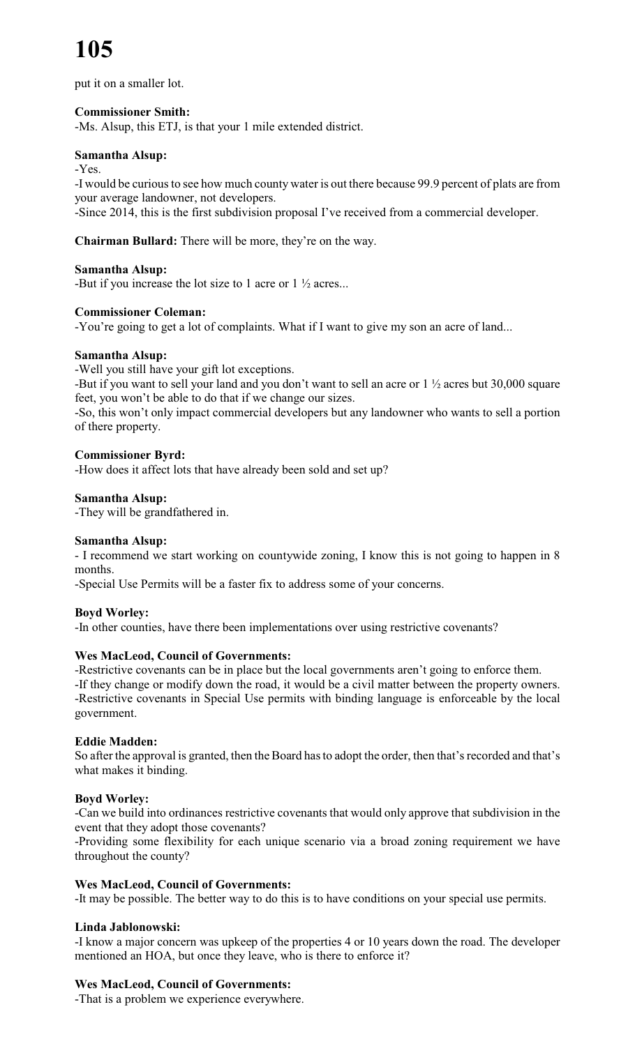put it on a smaller lot.

# **Commissioner Smith:**

-Ms. Alsup, this ETJ, is that your 1 mile extended district.

# **Samantha Alsup:**

-Yes.

-I would be curious to see how much county water is out there because 99.9 percent of plats are from your average landowner, not developers.

-Since 2014, this is the first subdivision proposal I've received from a commercial developer.

**Chairman Bullard:** There will be more, they're on the way.

#### **Samantha Alsup:**

-But if you increase the lot size to 1 acre or 1 ½ acres...

# **Commissioner Coleman:**

-You're going to get a lot of complaints. What if I want to give my son an acre of land...

# **Samantha Alsup:**

-Well you still have your gift lot exceptions.

-But if you want to sell your land and you don't want to sell an acre or 1 ½ acres but 30,000 square feet, you won't be able to do that if we change our sizes.

-So, this won't only impact commercial developers but any landowner who wants to sell a portion of there property.

#### **Commissioner Byrd:**

-How does it affect lots that have already been sold and set up?

#### **Samantha Alsup:**

-They will be grandfathered in.

#### **Samantha Alsup:**

- I recommend we start working on countywide zoning, I know this is not going to happen in 8 months.

-Special Use Permits will be a faster fix to address some of your concerns.

#### **Boyd Worley:**

-In other counties, have there been implementations over using restrictive covenants?

# **Wes MacLeod, Council of Governments:**

-Restrictive covenants can be in place but the local governments aren't going to enforce them. -If they change or modify down the road, it would be a civil matter between the property owners. -Restrictive covenants in Special Use permits with binding language is enforceable by the local government.

#### **Eddie Madden:**

So after the approval is granted, then the Board has to adopt the order, then that's recorded and that's what makes it binding.

#### **Boyd Worley:**

-Can we build into ordinances restrictive covenants that would only approve that subdivision in the event that they adopt those covenants?

-Providing some flexibility for each unique scenario via a broad zoning requirement we have throughout the county?

#### **Wes MacLeod, Council of Governments:**

-It may be possible. The better way to do this is to have conditions on your special use permits.

#### **Linda Jablonowski:**

-I know a major concern was upkeep of the properties 4 or 10 years down the road. The developer mentioned an HOA, but once they leave, who is there to enforce it?

# **Wes MacLeod, Council of Governments:**

-That is a problem we experience everywhere.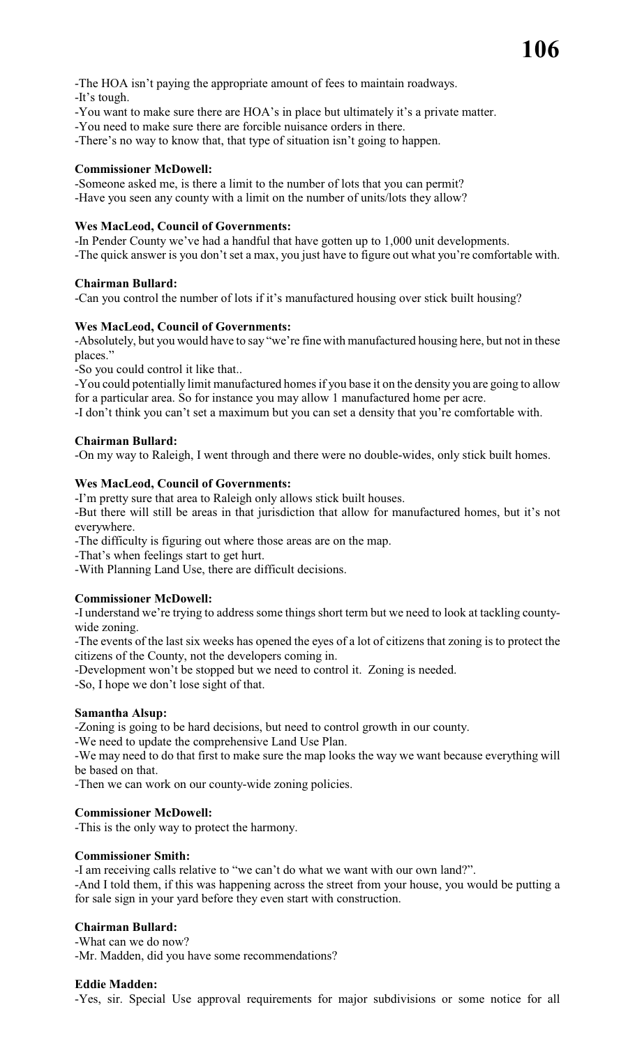-The HOA isn't paying the appropriate amount of fees to maintain roadways.

-It's tough.

- -You want to make sure there are HOA's in place but ultimately it's a private matter.
- -You need to make sure there are forcible nuisance orders in there.
- -There's no way to know that, that type of situation isn't going to happen.

# **Commissioner McDowell:**

-Someone asked me, is there a limit to the number of lots that you can permit? -Have you seen any county with a limit on the number of units/lots they allow?

# **Wes MacLeod, Council of Governments:**

-In Pender County we've had a handful that have gotten up to 1,000 unit developments. -The quick answer is you don't set a max, you just have to figure out what you're comfortable with.

#### **Chairman Bullard:**

-Can you control the number of lots if it's manufactured housing over stick built housing?

# **Wes MacLeod, Council of Governments:**

-Absolutely, but you would have to say "we're fine with manufactured housing here, but not in these places."

-So you could control it like that..

-You could potentially limit manufactured homes if you base it on the density you are going to allow for a particular area. So for instance you may allow 1 manufactured home per acre.

-I don't think you can't set a maximum but you can set a density that you're comfortable with.

# **Chairman Bullard:**

-On my way to Raleigh, I went through and there were no double-wides, only stick built homes.

# **Wes MacLeod, Council of Governments:**

-I'm pretty sure that area to Raleigh only allows stick built houses.

-But there will still be areas in that jurisdiction that allow for manufactured homes, but it's not everywhere.

-The difficulty is figuring out where those areas are on the map.

-That's when feelings start to get hurt.

-With Planning Land Use, there are difficult decisions.

# **Commissioner McDowell:**

-I understand we're trying to address some things short term but we need to look at tackling countywide zoning.

-The events of the last six weeks has opened the eyes of a lot of citizens that zoning is to protect the citizens of the County, not the developers coming in.

-Development won't be stopped but we need to control it. Zoning is needed.

-So, I hope we don't lose sight of that.

#### **Samantha Alsup:**

-Zoning is going to be hard decisions, but need to control growth in our county.

-We need to update the comprehensive Land Use Plan.

-We may need to do that first to make sure the map looks the way we want because everything will be based on that.

-Then we can work on our county-wide zoning policies.

# **Commissioner McDowell:**

-This is the only way to protect the harmony.

#### **Commissioner Smith:**

-I am receiving calls relative to "we can't do what we want with our own land?". -And I told them, if this was happening across the street from your house, you would be putting a

for sale sign in your yard before they even start with construction.

# **Chairman Bullard:**

-What can we do now? -Mr. Madden, did you have some recommendations?

#### **Eddie Madden:**

-Yes, sir. Special Use approval requirements for major subdivisions or some notice for all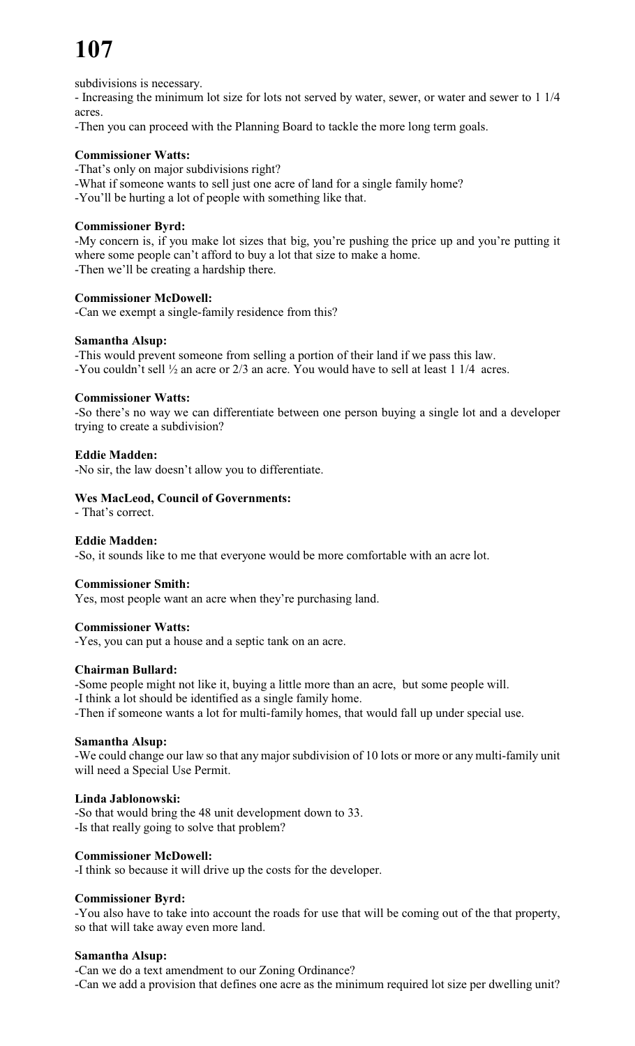# **107**

subdivisions is necessary.

- Increasing the minimum lot size for lots not served by water, sewer, or water and sewer to 1 1/4 acres.

-Then you can proceed with the Planning Board to tackle the more long term goals.

# **Commissioner Watts:**

-That's only on major subdivisions right?

-What if someone wants to sell just one acre of land for a single family home?

-You'll be hurting a lot of people with something like that.

# **Commissioner Byrd:**

-My concern is, if you make lot sizes that big, you're pushing the price up and you're putting it where some people can't afford to buy a lot that size to make a home. -Then we'll be creating a hardship there.

#### **Commissioner McDowell:**

-Can we exempt a single-family residence from this?

# **Samantha Alsup:**

-This would prevent someone from selling a portion of their land if we pass this law. -You couldn't sell ½ an acre or 2/3 an acre. You would have to sell at least 1 1/4 acres.

#### **Commissioner Watts:**

-So there's no way we can differentiate between one person buying a single lot and a developer trying to create a subdivision?

# **Eddie Madden:**

-No sir, the law doesn't allow you to differentiate.

# **Wes MacLeod, Council of Governments:**

- That's correct.

#### **Eddie Madden:**

-So, it sounds like to me that everyone would be more comfortable with an acre lot.

#### **Commissioner Smith:**

Yes, most people want an acre when they're purchasing land.

#### **Commissioner Watts:**

-Yes, you can put a house and a septic tank on an acre.

#### **Chairman Bullard:**

-Some people might not like it, buying a little more than an acre, but some people will.

-I think a lot should be identified as a single family home.

-Then if someone wants a lot for multi-family homes, that would fall up under special use.

#### **Samantha Alsup:**

-We could change our law so that any major subdivision of 10 lots or more or any multi-family unit will need a Special Use Permit.

#### **Linda Jablonowski:**

-So that would bring the 48 unit development down to 33. -Is that really going to solve that problem?

#### **Commissioner McDowell:**

-I think so because it will drive up the costs for the developer.

#### **Commissioner Byrd:**

-You also have to take into account the roads for use that will be coming out of the that property, so that will take away even more land.

#### **Samantha Alsup:**

-Can we do a text amendment to our Zoning Ordinance? -Can we add a provision that defines one acre as the minimum required lot size per dwelling unit?